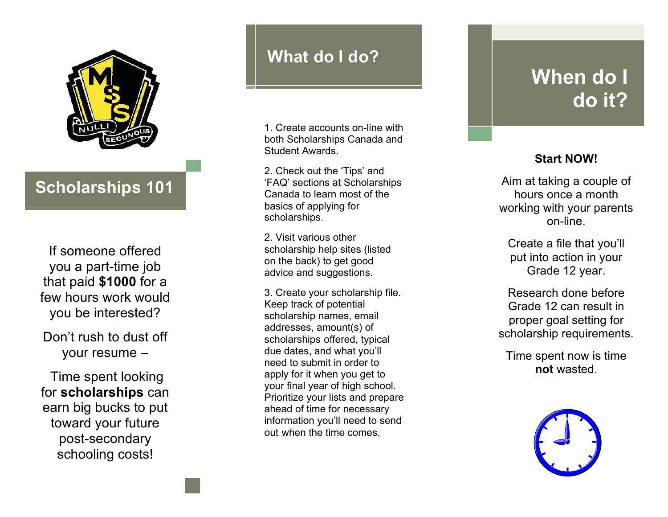

## **Scholarships 101**

If someone offered you a part -time job that paid **\$1000** for a few hours work would you be interested?

Don't rush to dust off your resume –

Time spent looking for **scholarships** can earn big bucks to put toward your future post -secondary schooling costs!

## **What do I do?**

1. Create accounts on -line with both Scholarships Canada and Student Awards .

2. Check out the 'Tips' and 'FAQ' sections at Scholarships Canada to learn most of the basics of applying for scholarships.

2. Visit various other scholarship help sites (listed on the back) to get good advice and suggestions .

3. Create your scholarship file. Keep track of potential scholarship names, email addresses, amount(s) of scholarships offered, typical due dates, and what you'll need to submit in order to apply for it when you get to your final year of high school. Prioritize your lists and prepare ahead of time for necessary information you'll need to send out when the time comes.

# **When do I do it?**

#### **Start NOW!**

Aim at taking a couple of hours once a month working with your parents on -line.

Create a file that you'll put into action in your Grade 12 year.

Research done before Grade 12 can result in proper goal setting for scholarship requirements.

Time spent now is time **not** wasted.